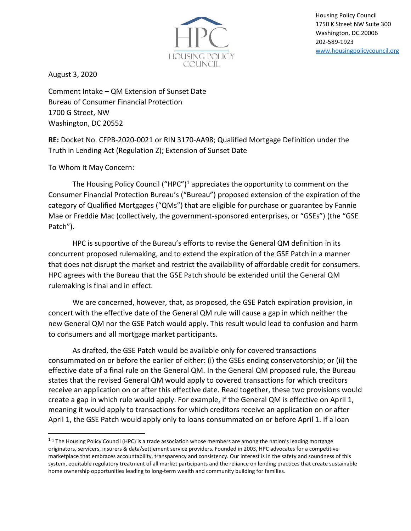

Housing Policy Council 1750 K Street NW Suite 300 Washington, DC 20006 202-589-1923 [www.housingpolicycouncil.org](http://www.housingpolicycouncil.org/)

August 3, 2020

Comment Intake – QM Extension of Sunset Date Bureau of Consumer Financial Protection 1700 G Street, NW Washington, DC 20552

**RE:** Docket No. CFPB-2020-0021 or RIN 3170-AA98; Qualified Mortgage Definition under the Truth in Lending Act (Regulation Z); Extension of Sunset Date

To Whom It May Concern:

The Housing Policy Council ("HPC")<sup>1</sup> appreciates the opportunity to comment on the Consumer Financial Protection Bureau's ("Bureau") proposed extension of the expiration of the category of Qualified Mortgages ("QMs") that are eligible for purchase or guarantee by Fannie Mae or Freddie Mac (collectively, the government-sponsored enterprises, or "GSEs") (the "GSE Patch").

HPC is supportive of the Bureau's efforts to revise the General QM definition in its concurrent proposed rulemaking, and to extend the expiration of the GSE Patch in a manner that does not disrupt the market and restrict the availability of affordable credit for consumers. HPC agrees with the Bureau that the GSE Patch should be extended until the General QM rulemaking is final and in effect.

We are concerned, however, that, as proposed, the GSE Patch expiration provision, in concert with the effective date of the General QM rule will cause a gap in which neither the new General QM nor the GSE Patch would apply. This result would lead to confusion and harm to consumers and all mortgage market participants.

As drafted, the GSE Patch would be available only for covered transactions consummated on or before the earlier of either: (i) the GSEs ending conservatorship; or (ii) the effective date of a final rule on the General QM. In the General QM proposed rule, the Bureau states that the revised General QM would apply to covered transactions for which creditors receive an application on or after this effective date. Read together, these two provisions would create a gap in which rule would apply. For example, if the General QM is effective on April 1, meaning it would apply to transactions for which creditors receive an application on or after April 1, the GSE Patch would apply only to loans consummated on or before April 1. If a loan

 $1$  1 The Housing Policy Council (HPC) is a trade association whose members are among the nation's leading mortgage originators, servicers, insurers & data/settlement service providers. Founded in 2003, HPC advocates for a competitive marketplace that embraces accountability, transparency and consistency. Our interest is in the safety and soundness of this system, equitable regulatory treatment of all market participants and the reliance on lending practices that create sustainable home ownership opportunities leading to long-term wealth and community building for families.